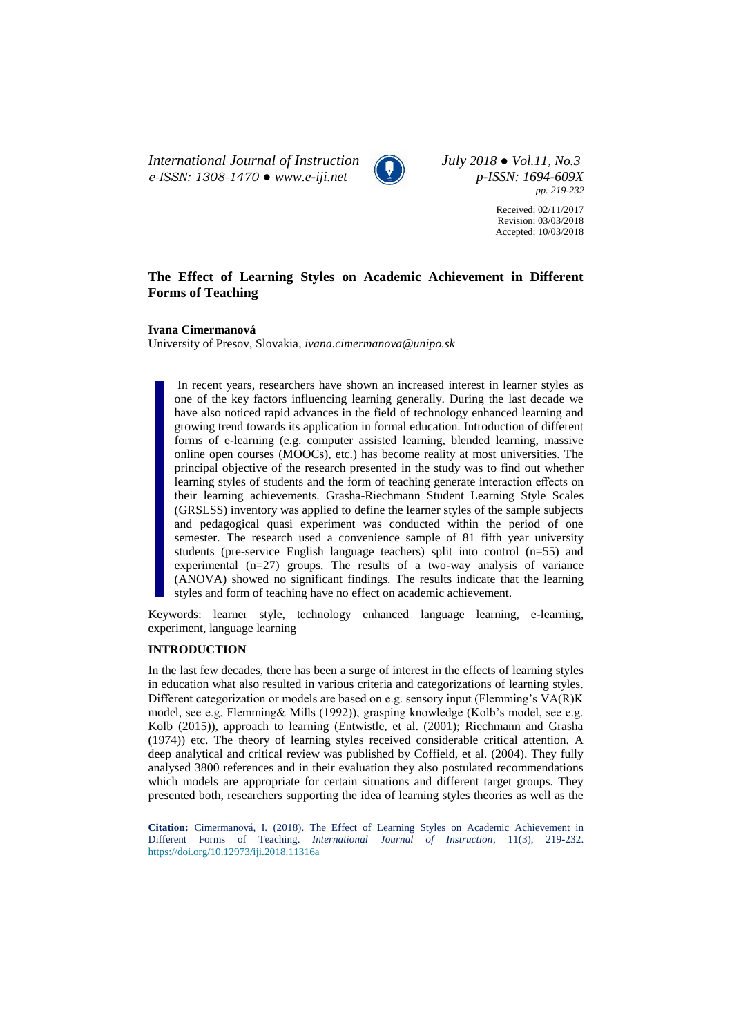*International Journal of Instruction July 2018 ● Vol.11, No.3 e-ISSN: 1308-1470 ● [www.e-iji.net](http://www.e-iji.net/) p-ISSN: 1694-609X*



*pp. 219-232*

Received: 02/11/2017 Revision: 03/03/2018 Accepted: 10/03/2018

# **The Effect of Learning Styles on Academic Achievement in Different Forms of Teaching**

#### **Ivana Cimermanová**

University of Presov, Slovakia, *ivana.cimermanova@unipo.sk*

In recent years, researchers have shown an increased interest in learner styles as one of the key factors influencing learning generally. During the last decade we have also noticed rapid advances in the field of technology enhanced learning and growing trend towards its application in formal education. Introduction of different forms of e-learning (e.g. computer assisted learning, blended learning, massive online open courses (MOOCs), etc.) has become reality at most universities. The principal objective of the research presented in the study was to find out whether learning styles of students and the form of teaching generate interaction effects on their learning achievements. Grasha-Riechmann Student Learning Style Scales (GRSLSS) inventory was applied to define the learner styles of the sample subjects and pedagogical quasi experiment was conducted within the period of one semester. The research used a convenience sample of 81 fifth year university students (pre-service English language teachers) split into control (n=55) and experimental (n=27) groups. The results of a two-way analysis of variance (ANOVA) showed no significant findings. The results indicate that the learning styles and form of teaching have no effect on academic achievement.

Keywords: learner style, technology enhanced language learning, e-learning, experiment, language learning

### **INTRODUCTION**

In the last few decades, there has been a surge of interest in the effects of learning styles in education what also resulted in various criteria and categorizations of learning styles. Different categorization or models are based on e.g. sensory input (Flemming's VA(R)K model, see e.g. Flemming& Mills (1992)), grasping knowledge (Kolb's model, see e.g. Kolb (2015)), approach to learning (Entwistle, et al. (2001); Riechmann and Grasha (1974)) etc. The theory of learning styles received considerable critical attention. A deep analytical and critical review was published by Coffield, et al. (2004). They fully analysed 3800 references and in their evaluation they also postulated recommendations which models are appropriate for certain situations and different target groups. They presented both, researchers supporting the idea of learning styles theories as well as the

**Citation:** Cimermanová, I. (2018). The Effect of Learning Styles on Academic Achievement in Different Forms of Teaching. *International Journal of Instruction*, 11(3), 219-232. <https://doi.org/10.12973/iji.2018.11316a>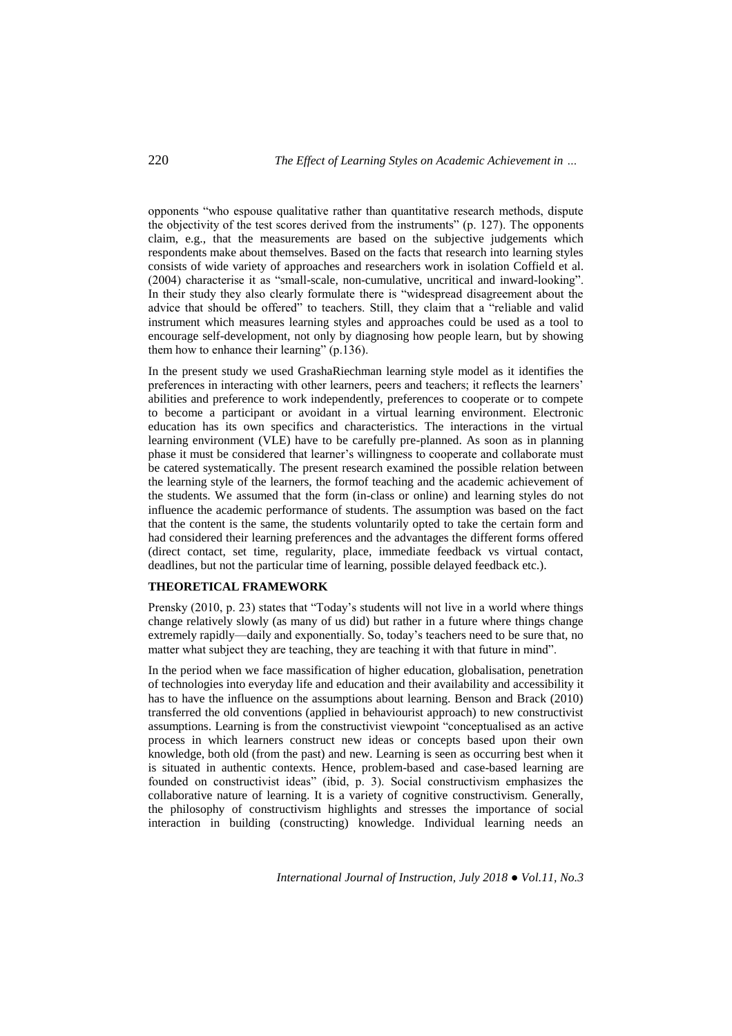opponents "who espouse qualitative rather than quantitative research methods, dispute the objectivity of the test scores derived from the instruments" (p. 127). The opponents claim, e.g., that the measurements are based on the subjective judgements which respondents make about themselves. Based on the facts that research into learning styles consists of wide variety of approaches and researchers work in isolation Coffield et al. (2004) characterise it as "small-scale, non-cumulative, uncritical and inward-looking". In their study they also clearly formulate there is "widespread disagreement about the advice that should be offered" to teachers. Still, they claim that a "reliable and valid instrument which measures learning styles and approaches could be used as a tool to encourage self-development, not only by diagnosing how people learn, but by showing them how to enhance their learning" (p.136).

In the present study we used GrashaRiechman learning style model as it identifies the preferences in interacting with other learners, peers and teachers; it reflects the learners' abilities and preference to work independently, preferences to cooperate or to compete to become a participant or avoidant in a virtual learning environment. Electronic education has its own specifics and characteristics. The interactions in the virtual learning environment (VLE) have to be carefully pre-planned. As soon as in planning phase it must be considered that learner's willingness to cooperate and collaborate must be catered systematically. The present research examined the possible relation between the learning style of the learners, the formof teaching and the academic achievement of the students. We assumed that the form (in-class or online) and learning styles do not influence the academic performance of students. The assumption was based on the fact that the content is the same, the students voluntarily opted to take the certain form and had considered their learning preferences and the advantages the different forms offered (direct contact, set time, regularity, place, immediate feedback vs virtual contact, deadlines, but not the particular time of learning, possible delayed feedback etc.).

### **THEORETICAL FRAMEWORK**

Prensky (2010, p. 23) states that "Today's students will not live in a world where things change relatively slowly (as many of us did) but rather in a future where things change extremely rapidly—daily and exponentially. So, today's teachers need to be sure that, no matter what subject they are teaching, they are teaching it with that future in mind".

In the period when we face massification of higher education, globalisation, penetration of technologies into everyday life and education and their availability and accessibility it has to have the influence on the assumptions about learning. Benson and Brack (2010) transferred the old conventions (applied in behaviourist approach) to new constructivist assumptions. Learning is from the constructivist viewpoint "conceptualised as an active process in which learners construct new ideas or concepts based upon their own knowledge, both old (from the past) and new. Learning is seen as occurring best when it is situated in authentic contexts. Hence, problem-based and case-based learning are founded on constructivist ideas" (ibid, p. 3). Social constructivism emphasizes the collaborative nature of learning. It is a variety of cognitive constructivism. Generally, the philosophy of constructivism highlights and stresses the importance of social interaction in building (constructing) knowledge. Individual learning needs an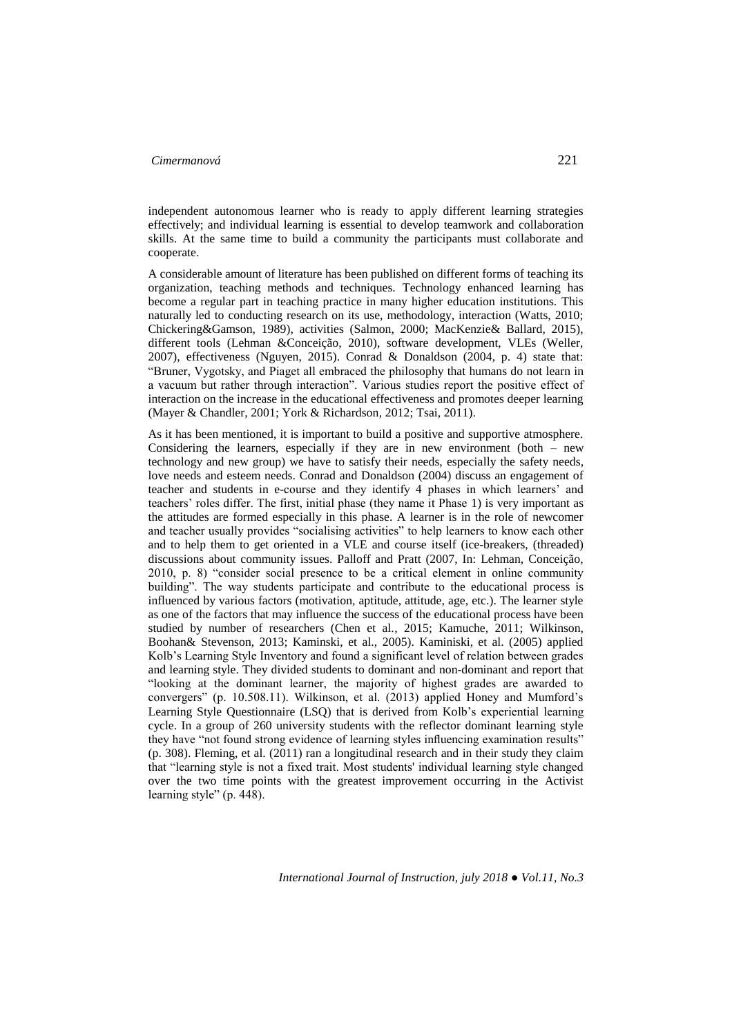independent autonomous learner who is ready to apply different learning strategies effectively; and individual learning is essential to develop teamwork and collaboration skills. At the same time to build a community the participants must collaborate and cooperate.

A considerable amount of literature has been published on different forms of teaching its organization, teaching methods and techniques. Technology enhanced learning has become a regular part in teaching practice in many higher education institutions. This naturally led to conducting research on its use, methodology, interaction (Watts, 2010; Chickering&Gamson, 1989), activities (Salmon, 2000; MacKenzie& Ballard, 2015), different tools (Lehman &Conceição, 2010), software development, VLEs (Weller, 2007), effectiveness (Nguyen, 2015). Conrad & Donaldson (2004, p. 4) state that: "Bruner, Vygotsky, and Piaget all embraced the philosophy that humans do not learn in a vacuum but rather through interaction". Various studies report the positive effect of interaction on the increase in the educational effectiveness and promotes deeper learning (Mayer & Chandler, 2001; York & Richardson, 2012; Tsai, 2011).

As it has been mentioned, it is important to build a positive and supportive atmosphere. Considering the learners, especially if they are in new environment (both – new technology and new group) we have to satisfy their needs, especially the safety needs, love needs and esteem needs. Conrad and Donaldson (2004) discuss an engagement of teacher and students in e-course and they identify 4 phases in which learners' and teachers' roles differ. The first, initial phase (they name it Phase 1) is very important as the attitudes are formed especially in this phase. A learner is in the role of newcomer and teacher usually provides "socialising activities" to help learners to know each other and to help them to get oriented in a VLE and course itself (ice-breakers, (threaded) discussions about community issues. Palloff and Pratt (2007, In: Lehman, Conceição, 2010, p. 8) "consider social presence to be a critical element in online community building". The way students participate and contribute to the educational process is influenced by various factors (motivation, aptitude, attitude, age, etc.). The learner style as one of the factors that may influence the success of the educational process have been studied by number of researchers (Chen et al., 2015; Kamuche, 2011; Wilkinson, Boohan& Stevenson, 2013; Kaminski, et al., 2005). Kaminiski, et al. (2005) applied Kolb's Learning Style Inventory and found a significant level of relation between grades and learning style. They divided students to dominant and non-dominant and report that "looking at the dominant learner, the majority of highest grades are awarded to convergers" (p. 10.508.11). Wilkinson, et al. (2013) applied Honey and Mumford's Learning Style Questionnaire (LSQ) that is derived from Kolb's experiential learning cycle. In a group of 260 university students with the reflector dominant learning style they have "not found strong evidence of learning styles influencing examination results" (p. 308). Fleming, et al. (2011) ran a longitudinal research and in their study they claim that "learning style is not a fixed trait. Most students' individual learning style changed over the two time points with the greatest improvement occurring in the Activist learning style" (p. 448).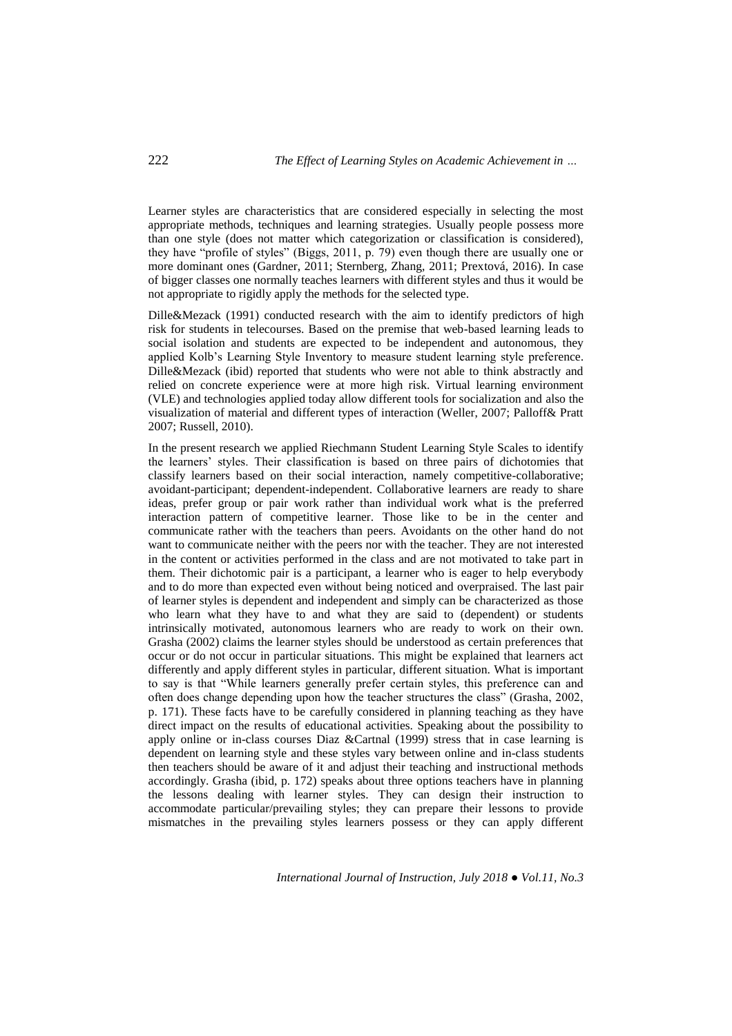Learner styles are characteristics that are considered especially in selecting the most appropriate methods, techniques and learning strategies. Usually people possess more than one style (does not matter which categorization or classification is considered), they have "profile of styles" (Biggs, 2011, p. 79) even though there are usually one or more dominant ones (Gardner, 2011; Sternberg, Zhang, 2011; Prextová, 2016). In case of bigger classes one normally teaches learners with different styles and thus it would be not appropriate to rigidly apply the methods for the selected type.

Dille&Mezack (1991) conducted research with the aim to identify predictors of high risk for students in telecourses. Based on the premise that web-based learning leads to social isolation and students are expected to be independent and autonomous, they applied Kolb's Learning Style Inventory to measure student learning style preference. Dille&Mezack (ibid) reported that students who were not able to think abstractly and relied on concrete experience were at more high risk. Virtual learning environment (VLE) and technologies applied today allow different tools for socialization and also the visualization of material and different types of interaction (Weller, 2007; Palloff& Pratt 2007; Russell, 2010).

In the present research we applied Riechmann Student Learning Style Scales to identify the learners' styles. Their classification is based on three pairs of dichotomies that classify learners based on their social interaction, namely competitive-collaborative; avoidant-participant; dependent-independent. Collaborative learners are ready to share ideas, prefer group or pair work rather than individual work what is the preferred interaction pattern of competitive learner. Those like to be in the center and communicate rather with the teachers than peers. Avoidants on the other hand do not want to communicate neither with the peers nor with the teacher. They are not interested in the content or activities performed in the class and are not motivated to take part in them. Their dichotomic pair is a participant, a learner who is eager to help everybody and to do more than expected even without being noticed and overpraised. The last pair of learner styles is dependent and independent and simply can be characterized as those who learn what they have to and what they are said to (dependent) or students intrinsically motivated, autonomous learners who are ready to work on their own. Grasha (2002) claims the learner styles should be understood as certain preferences that occur or do not occur in particular situations. This might be explained that learners act differently and apply different styles in particular, different situation. What is important to say is that "While learners generally prefer certain styles, this preference can and often does change depending upon how the teacher structures the class" (Grasha, 2002, p. 171). These facts have to be carefully considered in planning teaching as they have direct impact on the results of educational activities. Speaking about the possibility to apply online or in-class courses Diaz &Cartnal (1999) stress that in case learning is dependent on learning style and these styles vary between online and in-class students then teachers should be aware of it and adjust their teaching and instructional methods accordingly. Grasha (ibid, p. 172) speaks about three options teachers have in planning the lessons dealing with learner styles. They can design their instruction to accommodate particular/prevailing styles; they can prepare their lessons to provide mismatches in the prevailing styles learners possess or they can apply different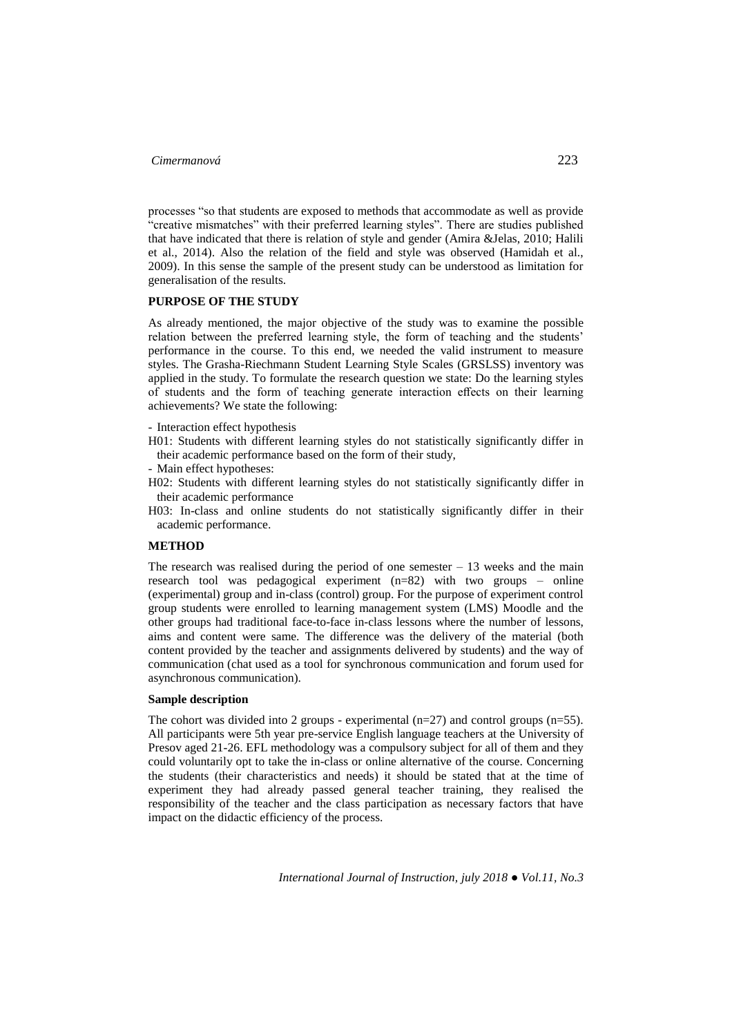processes "so that students are exposed to methods that accommodate as well as provide "creative mismatches" with their preferred learning styles". There are studies published that have indicated that there is relation of style and gender (Amira &Jelas, 2010; Halili et al., 2014). Also the relation of the field and style was observed (Hamidah et al., 2009). In this sense the sample of the present study can be understood as limitation for generalisation of the results.

# **PURPOSE OF THE STUDY**

As already mentioned, the major objective of the study was to examine the possible relation between the preferred learning style, the form of teaching and the students' performance in the course. To this end, we needed the valid instrument to measure styles. The Grasha-Riechmann Student Learning Style Scales (GRSLSS) inventory was applied in the study. To formulate the research question we state: Do the learning styles of students and the form of teaching generate interaction effects on their learning achievements? We state the following:

- Interaction effect hypothesis

H01: Students with different learning styles do not statistically significantly differ in their academic performance based on the form of their study,

- Main effect hypotheses:

H02: Students with different learning styles do not statistically significantly differ in their academic performance

H03: In-class and online students do not statistically significantly differ in their academic performance.

## **METHOD**

The research was realised during the period of one semester  $-13$  weeks and the main research tool was pedagogical experiment (n=82) with two groups – online (experimental) group and in-class (control) group. For the purpose of experiment control group students were enrolled to learning management system (LMS) Moodle and the other groups had traditional face-to-face in-class lessons where the number of lessons, aims and content were same. The difference was the delivery of the material (both content provided by the teacher and assignments delivered by students) and the way of communication (chat used as a tool for synchronous communication and forum used for asynchronous communication).

#### **Sample description**

The cohort was divided into 2 groups - experimental (n=27) and control groups (n=55). All participants were 5th year pre-service English language teachers at the University of Presov aged 21-26. EFL methodology was a compulsory subject for all of them and they could voluntarily opt to take the in-class or online alternative of the course. Concerning the students (their characteristics and needs) it should be stated that at the time of experiment they had already passed general teacher training, they realised the responsibility of the teacher and the class participation as necessary factors that have impact on the didactic efficiency of the process.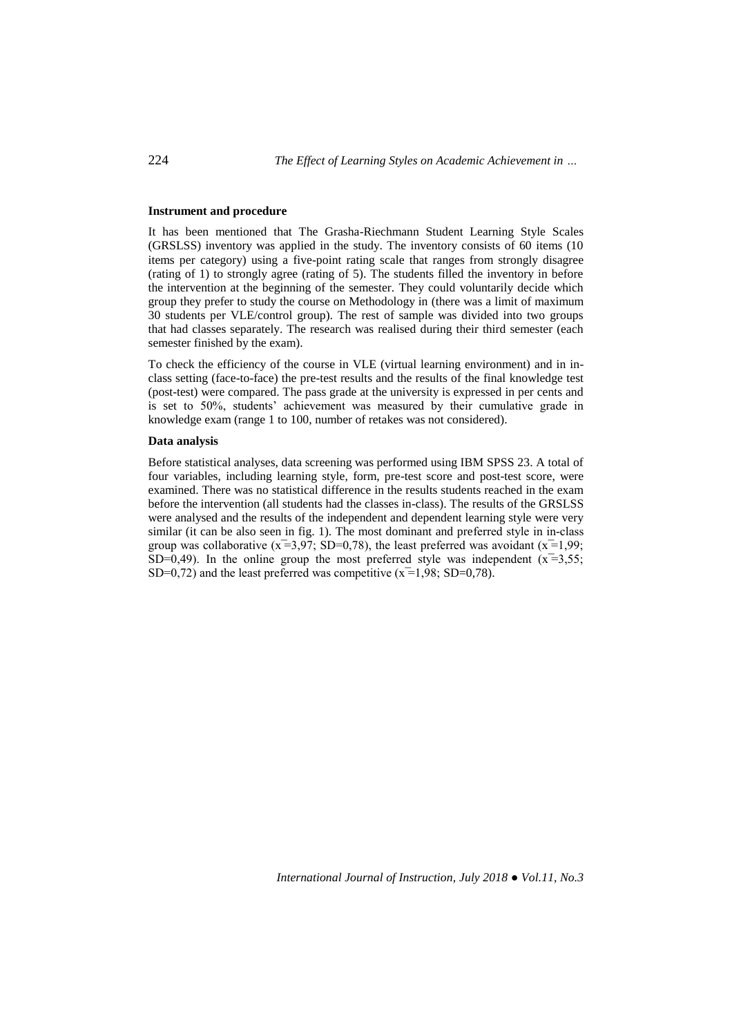### **Instrument and procedure**

It has been mentioned that The Grasha-Riechmann Student Learning Style Scales (GRSLSS) inventory was applied in the study. The inventory consists of 60 items (10 items per category) using a five-point rating scale that ranges from strongly disagree (rating of 1) to strongly agree (rating of 5). The students filled the inventory in before the intervention at the beginning of the semester. They could voluntarily decide which group they prefer to study the course on Methodology in (there was a limit of maximum 30 students per VLE/control group). The rest of sample was divided into two groups that had classes separately. The research was realised during their third semester (each semester finished by the exam).

To check the efficiency of the course in VLE (virtual learning environment) and in inclass setting (face-to-face) the pre-test results and the results of the final knowledge test (post-test) were compared. The pass grade at the university is expressed in per cents and is set to 50%, students' achievement was measured by their cumulative grade in knowledge exam (range 1 to 100, number of retakes was not considered).

#### **Data analysis**

Before statistical analyses, data screening was performed using IBM SPSS 23. A total of four variables, including learning style, form, pre-test score and post-test score, were examined. There was no statistical difference in the results students reached in the exam before the intervention (all students had the classes in-class). The results of the GRSLSS were analysed and the results of the independent and dependent learning style were very similar (it can be also seen in fig. 1). The most dominant and preferred style in in-class group was collaborative ( $x=3.97$ ; SD=0.78), the least preferred was avoidant ( $x=1.99$ ; SD=0,49). In the online group the most preferred style was independent  $(x=3.55;$ SD=0,72) and the least preferred was competitive  $(x=1.98; SD=0.78)$ .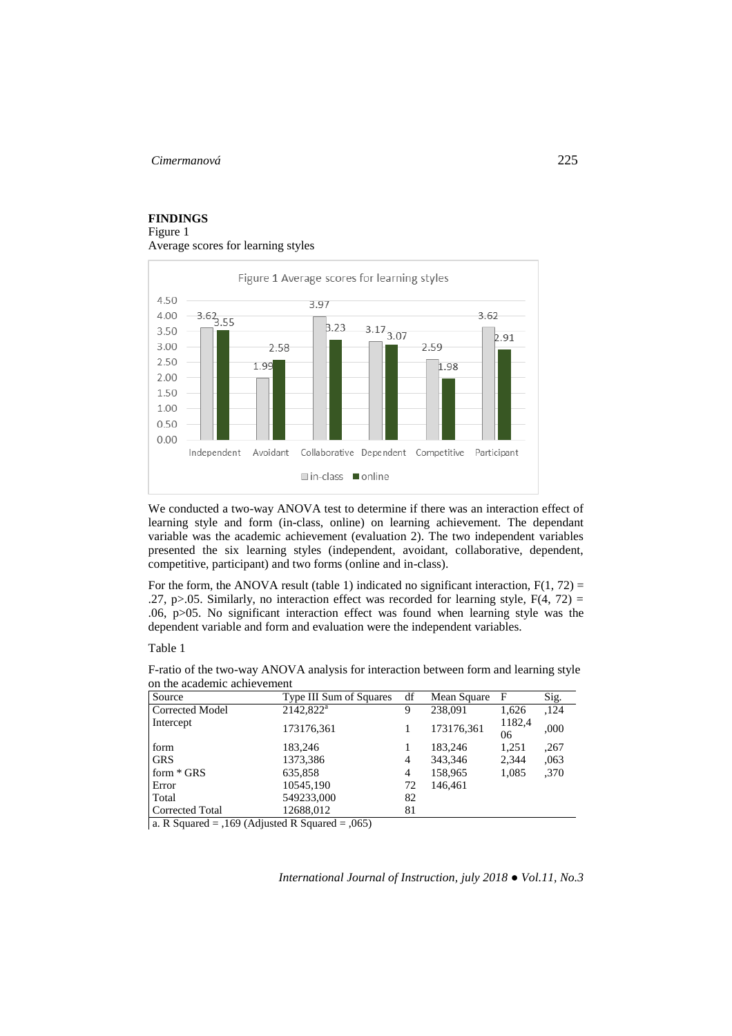# **FINDINGS**  Figure 1 Average scores for learning styles



We conducted a two-way ANOVA test to determine if there was an interaction effect of learning style and form (in-class, online) on learning achievement. The dependant variable was the academic achievement (evaluation 2). The two independent variables presented the six learning styles (independent, avoidant, collaborative, dependent, competitive, participant) and two forms (online and in-class).

For the form, the ANOVA result (table 1) indicated no significant interaction,  $F(1, 72) =$ .27, p $> 0.05$ . Similarly, no interaction effect was recorded for learning style,  $F(4, 72) =$ .06, p>05. No significant interaction effect was found when learning style was the dependent variable and form and evaluation were the independent variables.

#### Table 1

| On the academic achievement |                         |                |             |              |      |  |  |  |  |
|-----------------------------|-------------------------|----------------|-------------|--------------|------|--|--|--|--|
| Source                      | Type III Sum of Squares | df             | Mean Square | F            | Sig. |  |  |  |  |
| <b>Corrected Model</b>      | 2142,822 <sup>a</sup>   | 9              | 238,091     | 1,626        | ,124 |  |  |  |  |
| Intercept                   | 173176,361              |                | 173176,361  | 1182,4<br>06 | ,000 |  |  |  |  |
| form                        | 183,246                 |                | 183,246     | 1,251        | ,267 |  |  |  |  |
| <b>GRS</b>                  | 1373,386                | $\overline{4}$ | 343,346     | 2,344        | ,063 |  |  |  |  |
| form $*$ GRS                | 635,858                 | 4              | 158,965     | 1,085        | ,370 |  |  |  |  |
| Error                       | 10545,190               | 72             | 146,461     |              |      |  |  |  |  |
| Total                       | 549233,000              | 82             |             |              |      |  |  |  |  |
| Corrected Total             | 12688,012               | 81             |             |              |      |  |  |  |  |

F-ratio of the two-way ANOVA analysis for interaction between form and learning style on the academic achievement

a. R Squared =  $,169$  (Adjusted R Squared =  $,065$ )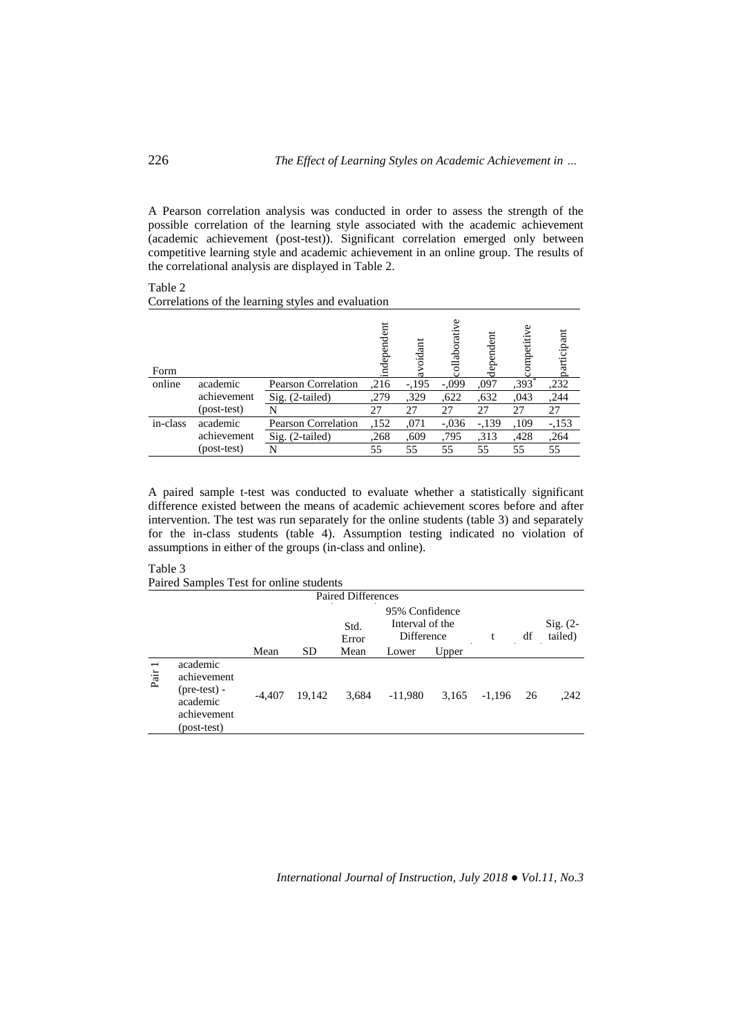A Pearson correlation analysis was conducted in order to assess the strength of the possible correlation of the learning style associated with the academic achievement (academic achievement (post-test)). Significant correlation emerged only between competitive learning style and academic achievement in an online group. The results of the correlational analysis are displayed in Table 2.

Table 2  $\frac{C_1}{C_2}$  the learning style

| Correlations of the learning styles and evaluation |  |
|----------------------------------------------------|--|
|----------------------------------------------------|--|

| ndependent<br>ependent<br>ompetiti<br>oidant<br>Form                                              | participant |
|---------------------------------------------------------------------------------------------------|-------------|
| $,393*$<br>online<br>,216<br>,232<br>Pearson Correlation<br>$-.099$<br>,097<br>$-195$<br>academic |             |
| achievement<br>,279<br>,329<br>,244<br>Sig. (2-tailed)<br>.622<br>.632<br>,043                    |             |
| (post-test)<br>27<br>27<br>27<br>27<br>27<br>27<br>N                                              |             |
| in-class<br>academic<br>,152<br>.071<br>Pearson Correlation<br>$-.036$<br>$-139$<br>,109          | $-153$      |
| achievement<br>,264<br>Sig. (2-tailed)<br>.268<br>.609<br>.795<br>.313<br>,428                    |             |
| (post-test)<br>55<br>55<br>55<br>N<br>55<br>55<br>55                                              |             |

A paired sample t-test was conducted to evaluate whether a statistically significant difference existed between the means of academic achievement scores before and after intervention. The test was run separately for the online students (table 3) and separately for the in-class students (table 4). Assumption testing indicated no violation of assumptions in either of the groups (in-class and online).

# Table 3

|  | Paired Samples Test for online students |  |
|--|-----------------------------------------|--|
|  |                                         |  |

|                                  |                                                                                     | <b>Paired Differences</b> |           |               |                               |       |          |    |                       |
|----------------------------------|-------------------------------------------------------------------------------------|---------------------------|-----------|---------------|-------------------------------|-------|----------|----|-----------------------|
|                                  |                                                                                     |                           |           |               | 95% Confidence                |       |          |    |                       |
|                                  |                                                                                     |                           |           | Std.<br>Error | Interval of the<br>Difference |       |          | df | $Sig. (2-$<br>tailed) |
|                                  |                                                                                     | Mean                      | <b>SD</b> | Mean          | Lower                         | Upper |          |    |                       |
| $\overline{\phantom{0}}$<br>Pair | academic<br>achievement<br>$(pre-test) -$<br>academic<br>achievement<br>(post-test) | $-4.407$                  | 19.142    | 3,684         | $-11,980$                     | 3.165 | $-1.196$ | 26 | .242                  |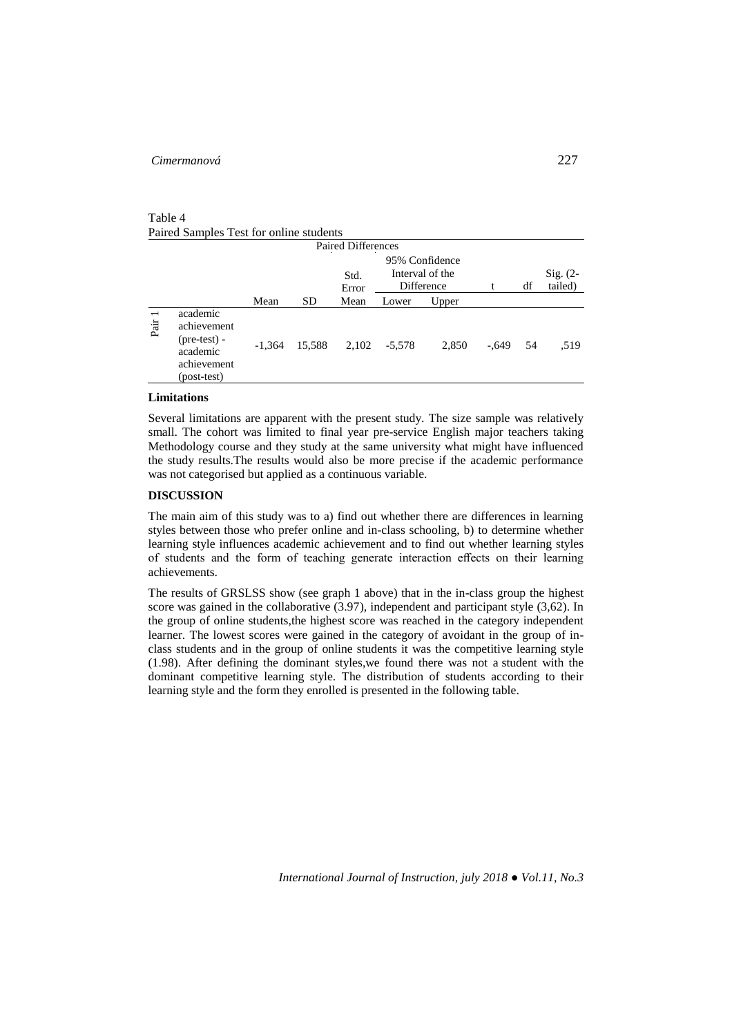Table 4 Paired Samples Test for online students

|                                  |                                                                                            | <b>Paired Differences</b> |        |               |                                                 |       |         |    |                       |
|----------------------------------|--------------------------------------------------------------------------------------------|---------------------------|--------|---------------|-------------------------------------------------|-------|---------|----|-----------------------|
|                                  |                                                                                            |                           |        | Std.<br>Error | 95% Confidence<br>Interval of the<br>Difference |       |         | df | $Sig. (2-$<br>tailed) |
|                                  |                                                                                            | Mean                      | SD.    | Mean          | Lower                                           | Upper |         |    |                       |
| $\overline{\phantom{0}}$<br>Pair | academic<br>achievement<br>$(\text{pre-test})$ -<br>academic<br>achievement<br>(post-test) | $-1.364$                  | 15,588 | 2,102         | $-5,578$                                        | 2,850 | $-.649$ | 54 | .519                  |

#### **Limitations**

Several limitations are apparent with the present study. The size sample was relatively small. The cohort was limited to final year pre-service English major teachers taking Methodology course and they study at the same university what might have influenced the study results.The results would also be more precise if the academic performance was not categorised but applied as a continuous variable.

## **DISCUSSION**

The main aim of this study was to a) find out whether there are differences in learning styles between those who prefer online and in-class schooling, b) to determine whether learning style influences academic achievement and to find out whether learning styles of students and the form of teaching generate interaction effects on their learning achievements.

The results of GRSLSS show (see graph 1 above) that in the in-class group the highest score was gained in the collaborative (3.97), independent and participant style (3,62). In the group of online students,the highest score was reached in the category independent learner. The lowest scores were gained in the category of avoidant in the group of inclass students and in the group of online students it was the competitive learning style (1.98). After defining the dominant styles,we found there was not a student with the dominant competitive learning style. The distribution of students according to their learning style and the form they enrolled is presented in the following table.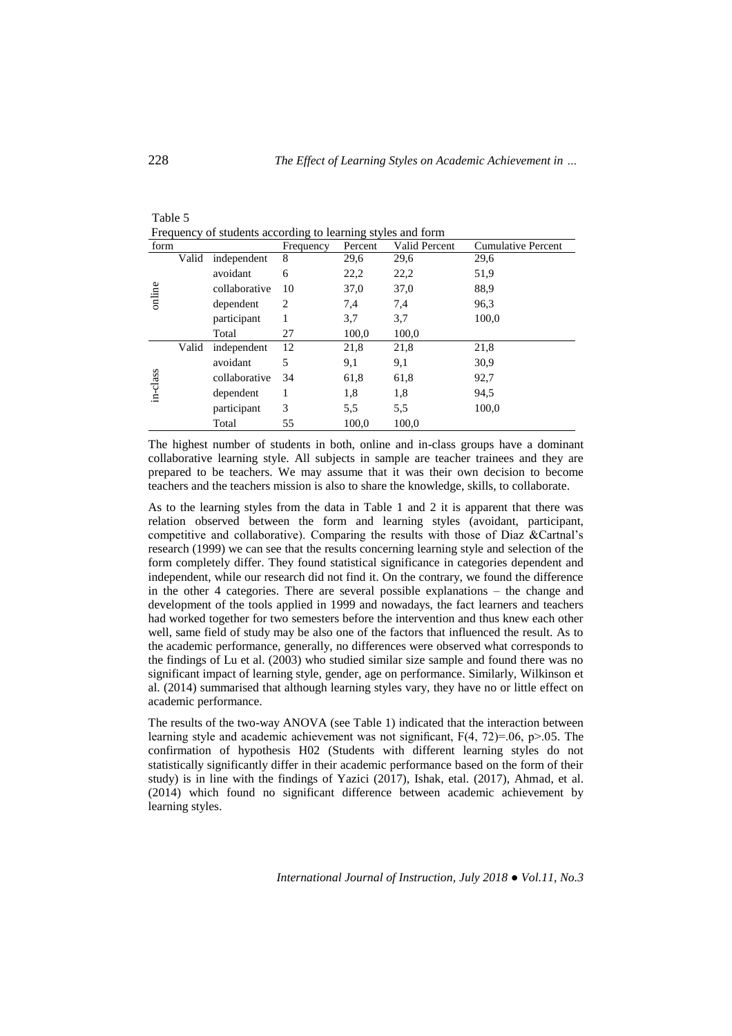| form     |       |               | Frequency | $\frac{1}{2}$<br>Percent | <b>Valid Percent</b> | <b>Cumulative Percent</b> |
|----------|-------|---------------|-----------|--------------------------|----------------------|---------------------------|
|          | Valid | independent   | 8         | 29,6                     | 29,6                 | 29,6                      |
|          |       | avoidant      | 6         | 22,2                     | 22,2                 | 51,9                      |
|          |       | collaborative | 10        | 37,0                     | 37,0                 | 88,9                      |
| online   |       | dependent     | 2         | 7,4                      | 7,4                  | 96,3                      |
|          |       | participant   |           | 3,7                      | 3,7                  | 100,0                     |
|          |       | Total         | 27        | 100.0                    | 100,0                |                           |
|          | Valid | independent   | 12        | 21,8                     | 21,8                 | 21,8                      |
| in-class |       | avoidant      | 5         | 9,1                      | 9,1                  | 30,9                      |
|          |       | collaborative | 34        | 61,8                     | 61,8                 | 92,7                      |
|          |       | dependent     |           | 1,8                      | 1,8                  | 94,5                      |
|          |       | participant   | 3         | 5,5                      | 5,5                  | 100,0                     |
|          |       | Total         | 55        | 100.0                    | 100,0                |                           |

Frequency of students according to learning styles and form

The highest number of students in both, online and in-class groups have a dominant collaborative learning style. All subjects in sample are teacher trainees and they are prepared to be teachers. We may assume that it was their own decision to become teachers and the teachers mission is also to share the knowledge, skills, to collaborate.

As to the learning styles from the data in Table 1 and 2 it is apparent that there was relation observed between the form and learning styles (avoidant, participant, competitive and collaborative). Comparing the results with those of Diaz &Cartnal's research (1999) we can see that the results concerning learning style and selection of the form completely differ. They found statistical significance in categories dependent and independent, while our research did not find it. On the contrary, we found the difference in the other 4 categories. There are several possible explanations – the change and development of the tools applied in 1999 and nowadays, the fact learners and teachers had worked together for two semesters before the intervention and thus knew each other well, same field of study may be also one of the factors that influenced the result. As to the academic performance, generally, no differences were observed what corresponds to the findings of Lu et al. (2003) who studied similar size sample and found there was no significant impact of learning style, gender, age on performance. Similarly, Wilkinson et al. (2014) summarised that although learning styles vary, they have no or little effect on academic performance.

The results of the two-way ANOVA (see Table 1) indicated that the interaction between learning style and academic achievement was not significant, F(4, 72)=.06, p>.05. The confirmation of hypothesis H02 (Students with different learning styles do not statistically significantly differ in their academic performance based on the form of their study) is in line with the findings of Yazici (2017), Ishak, etal. (2017), Ahmad, et al. (2014) which found no significant difference between academic achievement by learning styles.

Table 5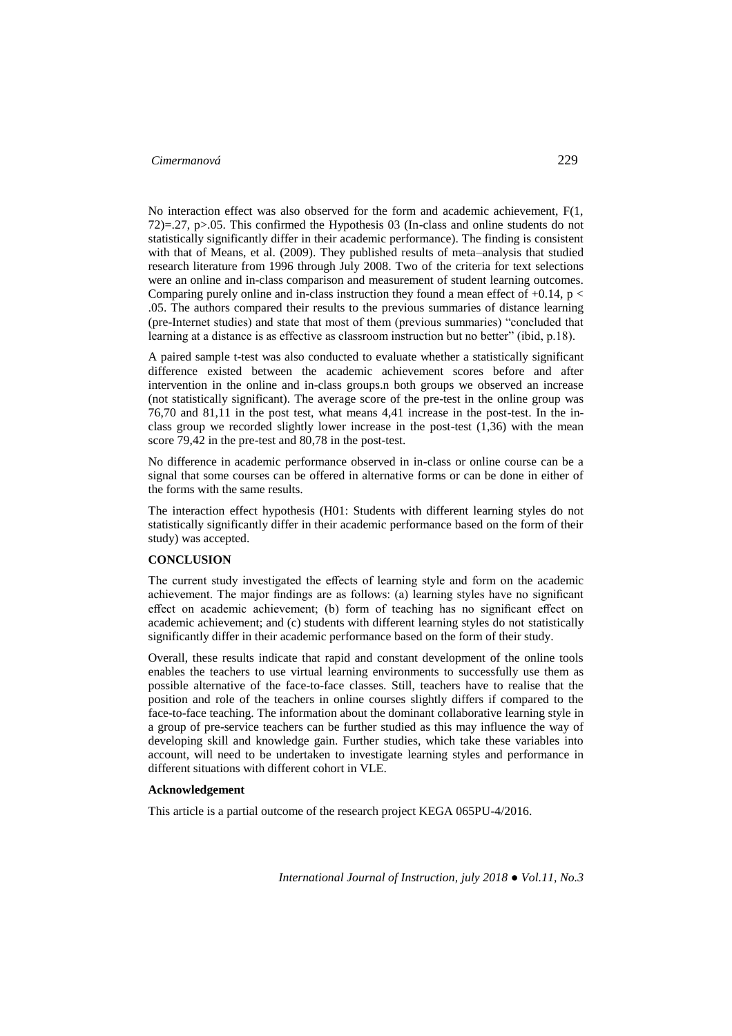No interaction effect was also observed for the form and academic achievement, F(1, 72)=.27, p>.05. This confirmed the Hypothesis 03 (In-class and online students do not statistically significantly differ in their academic performance). The finding is consistent with that of Means, et al. (2009). They published results of meta–analysis that studied research literature from 1996 through July 2008. Two of the criteria for text selections were an online and in-class comparison and measurement of student learning outcomes. Comparing purely online and in-class instruction they found a mean effect of  $+0.14$ , p  $<$ .05. The authors compared their results to the previous summaries of distance learning (pre-Internet studies) and state that most of them (previous summaries) "concluded that learning at a distance is as effective as classroom instruction but no better" (ibid, p.18).

A paired sample t-test was also conducted to evaluate whether a statistically significant difference existed between the academic achievement scores before and after intervention in the online and in-class groups.n both groups we observed an increase (not statistically significant). The average score of the pre-test in the online group was 76,70 and 81,11 in the post test, what means 4,41 increase in the post-test. In the inclass group we recorded slightly lower increase in the post-test  $(1,36)$  with the mean score 79,42 in the pre-test and 80,78 in the post-test.

No difference in academic performance observed in in-class or online course can be a signal that some courses can be offered in alternative forms or can be done in either of the forms with the same results.

The interaction effect hypothesis (H01: Students with different learning styles do not statistically significantly differ in their academic performance based on the form of their study) was accepted.

# **CONCLUSION**

The current study investigated the effects of learning style and form on the academic achievement. The major findings are as follows: (a) learning styles have no significant effect on academic achievement; (b) form of teaching has no significant effect on academic achievement; and (c) students with different learning styles do not statistically significantly differ in their academic performance based on the form of their study.

Overall, these results indicate that rapid and constant development of the online tools enables the teachers to use virtual learning environments to successfully use them as possible alternative of the face-to-face classes. Still, teachers have to realise that the position and role of the teachers in online courses slightly differs if compared to the face-to-face teaching. The information about the dominant collaborative learning style in a group of pre-service teachers can be further studied as this may influence the way of developing skill and knowledge gain. Further studies, which take these variables into account, will need to be undertaken to investigate learning styles and performance in different situations with different cohort in VLE.

#### **Acknowledgement**

This article is a partial outcome of the research project KEGA 065PU-4/2016.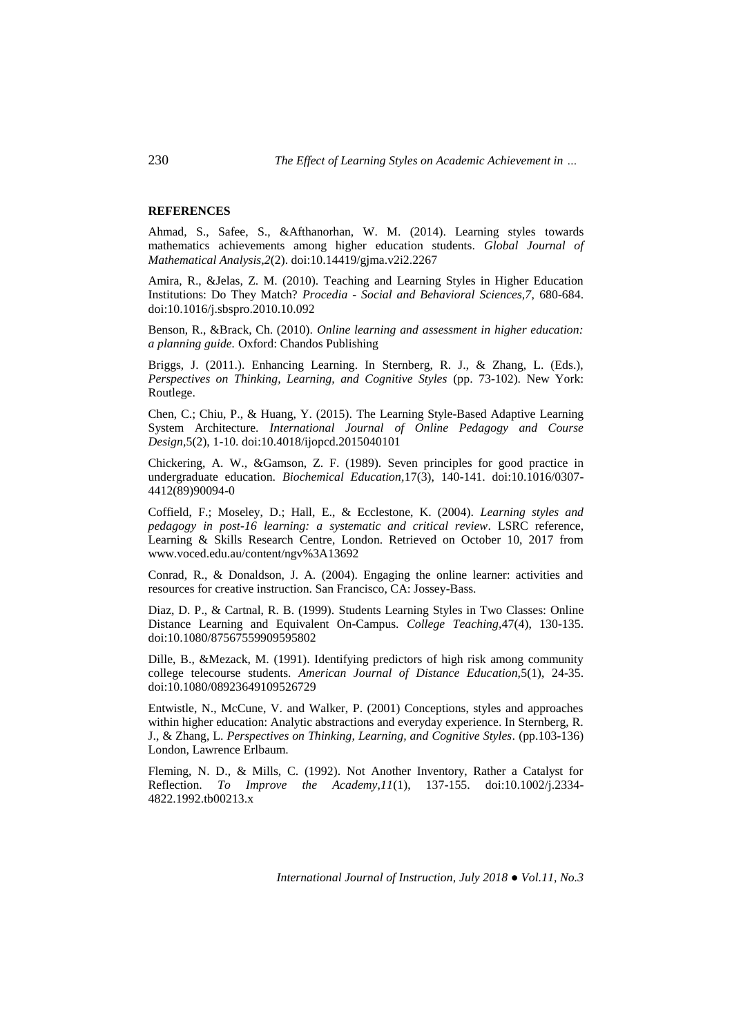### **REFERENCES**

Ahmad, S., Safee, S., &Afthanorhan, W. M. (2014). Learning styles towards mathematics achievements among higher education students. *Global Journal of Mathematical Analysis,2*(2). doi:10.14419/gjma.v2i2.2267

Amira, R., &Jelas, Z. M. (2010). Teaching and Learning Styles in Higher Education Institutions: Do They Match? *Procedia - Social and Behavioral Sciences,7*, 680-684. doi:10.1016/j.sbspro.2010.10.092

Benson, R., &Brack, Ch. (2010). *Online learning and assessment in higher education: a planning guide.* Oxford: Chandos Publishing

Briggs, J. (2011.). Enhancing Learning. In Sternberg, R. J., & Zhang, L. (Eds.), *Perspectives on Thinking, Learning, and Cognitive Styles* (pp. 73-102). New York: Routlege.

Chen, C.; Chiu, P., & Huang, Y. (2015). The Learning Style-Based Adaptive Learning System Architecture. *International Journal of Online Pedagogy and Course Design,*5(2), 1-10. doi:10.4018/ijopcd.2015040101

Chickering, A. W., &Gamson, Z. F. (1989). Seven principles for good practice in undergraduate education. *Biochemical Education,*17(3), 140-141. doi:10.1016/0307- 4412(89)90094-0

Coffield, F.; Moseley, D.; Hall, E., & Ecclestone, K. (2004). *Learning styles and pedagogy in post-16 learning: a systematic and critical review*. LSRC reference, Learning & Skills Research Centre, London. Retrieved on October 10, 2017 from www.voced.edu.au/content/ngv%3A13692

Conrad, R., & Donaldson, J. A. (2004). Engaging the online learner: activities and resources for creative instruction. San Francisco, CA: Jossey-Bass.

Diaz, D. P., & Cartnal, R. B. (1999). Students Learning Styles in Two Classes: Online Distance Learning and Equivalent On-Campus. *College Teaching,*47(4), 130-135. doi:10.1080/87567559909595802

Dille, B., &Mezack, M. (1991). Identifying predictors of high risk among community college telecourse students. *American Journal of Distance Education,*5(1), 24-35. doi:10.1080/08923649109526729

Entwistle, N., McCune, V. and Walker, P. (2001) Conceptions, styles and approaches within higher education: Analytic abstractions and everyday experience. In Sternberg, R. J., & Zhang, L. *Perspectives on Thinking, Learning, and Cognitive Styles*. (pp.103-136) London, Lawrence Erlbaum.

Fleming, N. D., & Mills, C. (1992). Not Another Inventory, Rather a Catalyst for Reflection. *To Improve the Academy,11*(1), 137-155. doi:10.1002/j.2334- 4822.1992.tb00213.x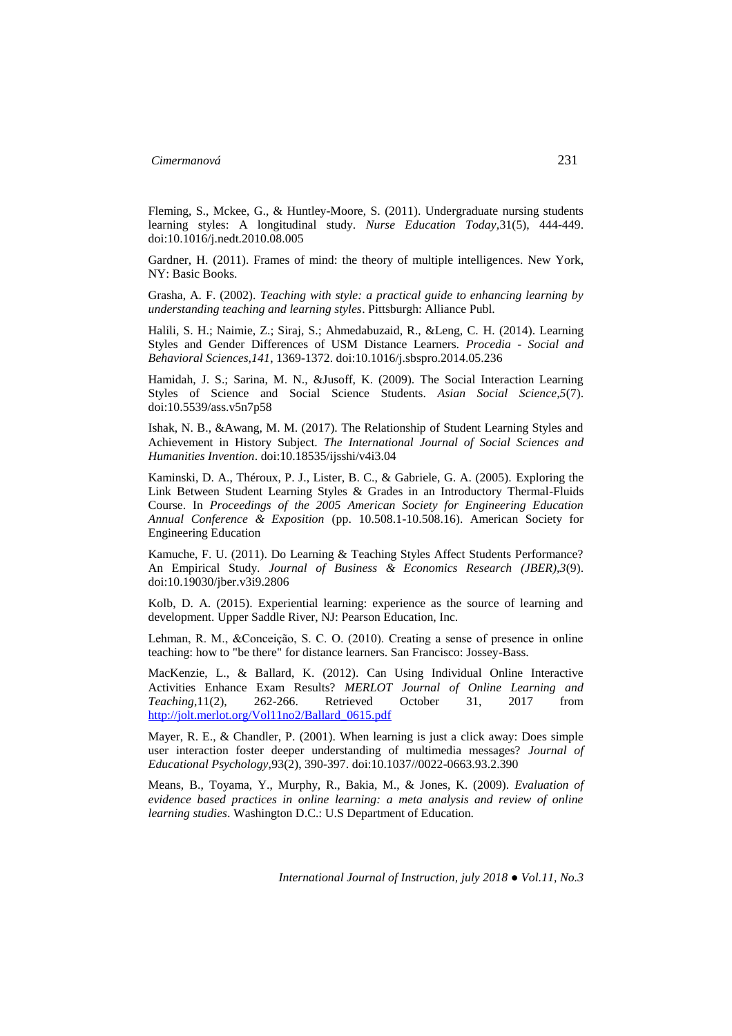Fleming, S., Mckee, G., & Huntley-Moore, S. (2011). Undergraduate nursing students learning styles: A longitudinal study. *Nurse Education Today,*31(5), 444-449. doi:10.1016/j.nedt.2010.08.005

Gardner, H. (2011). Frames of mind: the theory of multiple intelligences. New York, NY: Basic Books.

Grasha, A. F. (2002). *Teaching with style: a practical guide to enhancing learning by understanding teaching and learning styles*. Pittsburgh: Alliance Publ.

Halili, S. H.; Naimie, Z.; Siraj, S.; Ahmedabuzaid, R., &Leng, C. H. (2014). Learning Styles and Gender Differences of USM Distance Learners. *Procedia - Social and Behavioral Sciences,141*, 1369-1372. doi:10.1016/j.sbspro.2014.05.236

Hamidah, J. S.; Sarina, M. N., &Jusoff, K. (2009). The Social Interaction Learning Styles of Science and Social Science Students. *Asian Social Science,5*(7). doi:10.5539/ass.v5n7p58

Ishak, N. B., &Awang, M. M. (2017). The Relationship of Student Learning Styles and Achievement in History Subject. *The International Journal of Social Sciences and Humanities Invention*. doi:10.18535/ijsshi/v4i3.04

Kaminski, D. A., Théroux, P. J., Lister, B. C., & Gabriele, G. A. (2005). Exploring the Link Between Student Learning Styles & Grades in an Introductory Thermal-Fluids Course. In *Proceedings of the 2005 American Society for Engineering Education Annual Conference & Exposition* (pp. 10.508.1-10.508.16). American Society for Engineering Education

Kamuche, F. U. (2011). Do Learning & Teaching Styles Affect Students Performance? An Empirical Study. *Journal of Business & Economics Research (JBER),3*(9). doi:10.19030/jber.v3i9.2806

Kolb, D. A. (2015). Experiential learning: experience as the source of learning and development. Upper Saddle River, NJ: Pearson Education, Inc.

Lehman, R. M., &Conceição, S. C. O. (2010). Creating a sense of presence in online teaching: how to "be there" for distance learners. San Francisco: Jossey-Bass.

MacKenzie, L., & Ballard, K. (2012). Can Using Individual Online Interactive Activities Enhance Exam Results? *MERLOT Journal of Online Learning and Teaching,*11(2), 262-266. Retrieved October 31, 2017 from [http://jolt.merlot.org/Vol11no2/Ballard\\_0615.pdf](http://jolt.merlot.org/Vol11no2/Ballard_0615.pdf)

Mayer, R. E., & Chandler, P. (2001). When learning is just a click away: Does simple user interaction foster deeper understanding of multimedia messages? *Journal of Educational Psychology,*93(2), 390-397. doi:10.1037//0022-0663.93.2.390

Means, B., Toyama, Y., Murphy, R., Bakia, M., & Jones, K. (2009). *Evaluation of evidence based practices in online learning: a meta analysis and review of online learning studies*. Washington D.C.: U.S Department of Education.